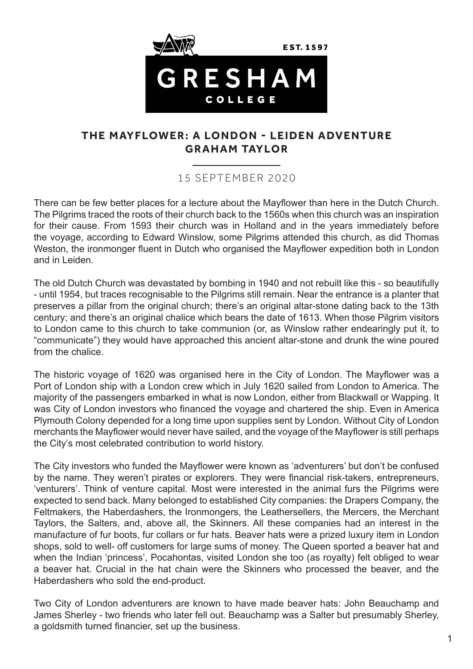

# **THE MAYFLOWER: A LONDON - LEIDEN ADVENTURE GRAHAM TAYLOR**

# 15 SEPTEMBER 2020

There can be few better places for a lecture about the Mayflower than here in the Dutch Church. The Pilgrims traced the roots of their church back to the 1560s when this church was an inspiration for their cause. From 1593 their church was in Holland and in the years immediately before the voyage, according to Edward Winslow, some Pilgrims attended this church, as did Thomas Weston, the ironmonger fluent in Dutch who organised the Mayflower expedition both in London and in Leiden.

The old Dutch Church was devastated by bombing in 1940 and not rebuilt like this - so beautifully - until 1954, but traces recognisable to the Pilgrims still remain. Near the entrance is a planter that preserves a pillar from the original church; there's an original altar-stone dating back to the 13th century; and there's an original chalice which bears the date of 1613. When those Pilgrim visitors to London came to this church to take communion (or, as Winslow rather endearingly put it, to "communicate") they would have approached this ancient altar-stone and drunk the wine poured from the chalice.

The historic voyage of 1620 was organised here in the City of London. The Mayflower was a Port of London ship with a London crew which in July 1620 sailed from London to America. The majority of the passengers embarked in what is now London, either from Blackwall or Wapping. It was City of London investors who financed the voyage and chartered the ship. Even in America Plymouth Colony depended for a long time upon supplies sent by London. Without City of London merchants the Mayflower would never have sailed, and the voyage of the Mayflower is still perhaps the City's most celebrated contribution to world history.

The City investors who funded the Mayflower were known as 'adventurers' but don't be confused by the name. They weren't pirates or explorers. They were financial risk-takers, entrepreneurs, 'venturers'. Think of venture capital. Most were interested in the animal furs the Pilgrims were expected to send back. Many belonged to established City companies: the Drapers Company, the Feltmakers, the Haberdashers, the Ironmongers, the Leathersellers, the Mercers, the Merchant Taylors, the Salters, and, above all, the Skinners. All these companies had an interest in the manufacture of fur boots, fur collars or fur hats. Beaver hats were a prized luxury item in London shops, sold to well- off customers for large sums of money. The Queen sported a beaver hat and when the Indian 'princess', Pocahontas, visited London she too (as royalty) felt obliged to wear a beaver hat. Crucial in the hat chain were the Skinners who processed the beaver, and the Haberdashers who sold the end-product.

Two City of London adventurers are known to have made beaver hats: John Beauchamp and James Sherley - two friends who later fell out. Beauchamp was a Salter but presumably Sherley, a goldsmith turned financier, set up the business.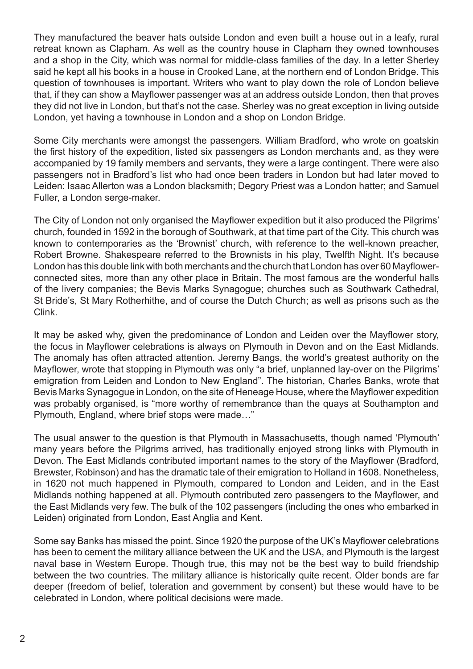They manufactured the beaver hats outside London and even built a house out in a leafy, rural retreat known as Clapham. As well as the country house in Clapham they owned townhouses and a shop in the City, which was normal for middle-class families of the day. In a letter Sherley said he kept all his books in a house in Crooked Lane, at the northern end of London Bridge. This question of townhouses is important. Writers who want to play down the role of London believe that, if they can show a Mayflower passenger was at an address outside London, then that proves they did not live in London, but that's not the case. Sherley was no great exception in living outside London, yet having a townhouse in London and a shop on London Bridge.

Some City merchants were amongst the passengers. William Bradford, who wrote on goatskin the first history of the expedition, listed six passengers as London merchants and, as they were accompanied by 19 family members and servants, they were a large contingent. There were also passengers not in Bradford's list who had once been traders in London but had later moved to Leiden: Isaac Allerton was a London blacksmith; Degory Priest was a London hatter; and Samuel Fuller, a London serge-maker.

The City of London not only organised the Mayflower expedition but it also produced the Pilgrims' church, founded in 1592 in the borough of Southwark, at that time part of the City. This church was known to contemporaries as the 'Brownist' church, with reference to the well-known preacher, Robert Browne. Shakespeare referred to the Brownists in his play, Twelfth Night. It's because London has this double link with both merchants and the church that London has over 60 Mayflowerconnected sites, more than any other place in Britain. The most famous are the wonderful halls of the livery companies; the Bevis Marks Synagogue; churches such as Southwark Cathedral, St Bride's, St Mary Rotherhithe, and of course the Dutch Church; as well as prisons such as the Clink.

It may be asked why, given the predominance of London and Leiden over the Mayflower story, the focus in Mayflower celebrations is always on Plymouth in Devon and on the East Midlands. The anomaly has often attracted attention. Jeremy Bangs, the world's greatest authority on the Mayflower, wrote that stopping in Plymouth was only "a brief, unplanned lay-over on the Pilgrims' emigration from Leiden and London to New England". The historian, Charles Banks, wrote that Bevis Marks Synagogue in London, on the site of Heneage House, where the Mayflower expedition was probably organised, is "more worthy of remembrance than the quays at Southampton and Plymouth, England, where brief stops were made…"

The usual answer to the question is that Plymouth in Massachusetts, though named 'Plymouth' many years before the Pilgrims arrived, has traditionally enjoyed strong links with Plymouth in Devon. The East Midlands contributed important names to the story of the Mayflower (Bradford, Brewster, Robinson) and has the dramatic tale of their emigration to Holland in 1608. Nonetheless, in 1620 not much happened in Plymouth, compared to London and Leiden, and in the East Midlands nothing happened at all. Plymouth contributed zero passengers to the Mayflower, and the East Midlands very few. The bulk of the 102 passengers (including the ones who embarked in Leiden) originated from London, East Anglia and Kent.

Some say Banks has missed the point. Since 1920 the purpose of the UK's Mayflower celebrations has been to cement the military alliance between the UK and the USA, and Plymouth is the largest naval base in Western Europe. Though true, this may not be the best way to build friendship between the two countries. The military alliance is historically quite recent. Older bonds are far deeper (freedom of belief, toleration and government by consent) but these would have to be celebrated in London, where political decisions were made.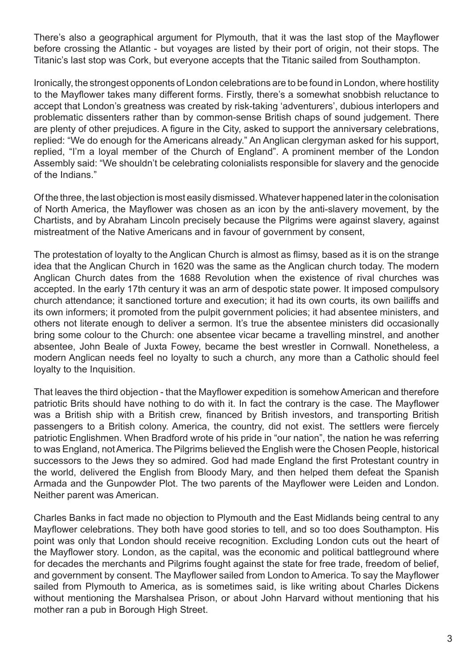There's also a geographical argument for Plymouth, that it was the last stop of the Mayflower before crossing the Atlantic - but voyages are listed by their port of origin, not their stops. The Titanic's last stop was Cork, but everyone accepts that the Titanic sailed from Southampton.

Ironically, the strongest opponents of London celebrations are to be found in London, where hostility to the Mayflower takes many different forms. Firstly, there's a somewhat snobbish reluctance to accept that London's greatness was created by risk-taking 'adventurers', dubious interlopers and problematic dissenters rather than by common-sense British chaps of sound judgement. There are plenty of other prejudices. A figure in the City, asked to support the anniversary celebrations, replied: "We do enough for the Americans already." An Anglican clergyman asked for his support, replied, "I'm a loyal member of the Church of England". A prominent member of the London Assembly said: "We shouldn't be celebrating colonialists responsible for slavery and the genocide of the Indians."

Of the three, the last objection is most easily dismissed. Whatever happened later in the colonisation of North America, the Mayflower was chosen as an icon by the anti-slavery movement, by the Chartists, and by Abraham Lincoln precisely because the Pilgrims were against slavery, against mistreatment of the Native Americans and in favour of government by consent,

The protestation of loyalty to the Anglican Church is almost as flimsy, based as it is on the strange idea that the Anglican Church in 1620 was the same as the Anglican church today. The modern Anglican Church dates from the 1688 Revolution when the existence of rival churches was accepted. In the early 17th century it was an arm of despotic state power. It imposed compulsory church attendance; it sanctioned torture and execution; it had its own courts, its own bailiffs and its own informers; it promoted from the pulpit government policies; it had absentee ministers, and others not literate enough to deliver a sermon. It's true the absentee ministers did occasionally bring some colour to the Church: one absentee vicar became a travelling minstrel, and another absentee, John Beale of Juxta Fowey, became the best wrestler in Cornwall. Nonetheless, a modern Anglican needs feel no loyalty to such a church, any more than a Catholic should feel loyalty to the Inquisition.

That leaves the third objection - that the Mayflower expedition is somehow American and therefore patriotic Brits should have nothing to do with it. In fact the contrary is the case. The Mayflower was a British ship with a British crew, financed by British investors, and transporting British passengers to a British colony. America, the country, did not exist. The settlers were fiercely patriotic Englishmen. When Bradford wrote of his pride in "our nation", the nation he was referring to was England, not America. The Pilgrims believed the English were the Chosen People, historical successors to the Jews they so admired. God had made England the first Protestant country in the world, delivered the English from Bloody Mary, and then helped them defeat the Spanish Armada and the Gunpowder Plot. The two parents of the Mayflower were Leiden and London. Neither parent was American.

Charles Banks in fact made no objection to Plymouth and the East Midlands being central to any Mayflower celebrations. They both have good stories to tell, and so too does Southampton. His point was only that London should receive recognition. Excluding London cuts out the heart of the Mayflower story. London, as the capital, was the economic and political battleground where for decades the merchants and Pilgrims fought against the state for free trade, freedom of belief, and government by consent. The Mayflower sailed from London to America. To say the Mayflower sailed from Plymouth to America, as is sometimes said, is like writing about Charles Dickens without mentioning the Marshalsea Prison, or about John Harvard without mentioning that his mother ran a pub in Borough High Street.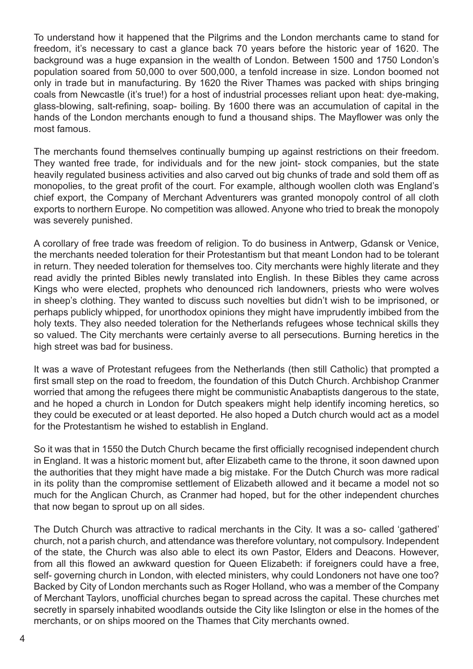To understand how it happened that the Pilgrims and the London merchants came to stand for freedom, it's necessary to cast a glance back 70 years before the historic year of 1620. The background was a huge expansion in the wealth of London. Between 1500 and 1750 London's population soared from 50,000 to over 500,000, a tenfold increase in size. London boomed not only in trade but in manufacturing. By 1620 the River Thames was packed with ships bringing coals from Newcastle (it's true!) for a host of industrial processes reliant upon heat: dye-making, glass-blowing, salt-refining, soap- boiling. By 1600 there was an accumulation of capital in the hands of the London merchants enough to fund a thousand ships. The Mayflower was only the most famous.

The merchants found themselves continually bumping up against restrictions on their freedom. They wanted free trade, for individuals and for the new joint- stock companies, but the state heavily regulated business activities and also carved out big chunks of trade and sold them off as monopolies, to the great profit of the court. For example, although woollen cloth was England's chief export, the Company of Merchant Adventurers was granted monopoly control of all cloth exports to northern Europe. No competition was allowed. Anyone who tried to break the monopoly was severely punished.

A corollary of free trade was freedom of religion. To do business in Antwerp, Gdansk or Venice, the merchants needed toleration for their Protestantism but that meant London had to be tolerant in return. They needed toleration for themselves too. City merchants were highly literate and they read avidly the printed Bibles newly translated into English. In these Bibles they came across Kings who were elected, prophets who denounced rich landowners, priests who were wolves in sheep's clothing. They wanted to discuss such novelties but didn't wish to be imprisoned, or perhaps publicly whipped, for unorthodox opinions they might have imprudently imbibed from the holy texts. They also needed toleration for the Netherlands refugees whose technical skills they so valued. The City merchants were certainly averse to all persecutions. Burning heretics in the high street was bad for business.

It was a wave of Protestant refugees from the Netherlands (then still Catholic) that prompted a first small step on the road to freedom, the foundation of this Dutch Church. Archbishop Cranmer worried that among the refugees there might be communistic Anabaptists dangerous to the state, and he hoped a church in London for Dutch speakers might help identify incoming heretics, so they could be executed or at least deported. He also hoped a Dutch church would act as a model for the Protestantism he wished to establish in England.

So it was that in 1550 the Dutch Church became the first officially recognised independent church in England. It was a historic moment but, after Elizabeth came to the throne, it soon dawned upon the authorities that they might have made a big mistake. For the Dutch Church was more radical in its polity than the compromise settlement of Elizabeth allowed and it became a model not so much for the Anglican Church, as Cranmer had hoped, but for the other independent churches that now began to sprout up on all sides.

The Dutch Church was attractive to radical merchants in the City. It was a so- called 'gathered' church, not a parish church, and attendance was therefore voluntary, not compulsory. Independent of the state, the Church was also able to elect its own Pastor, Elders and Deacons. However, from all this flowed an awkward question for Queen Elizabeth: if foreigners could have a free, self- governing church in London, with elected ministers, why could Londoners not have one too? Backed by City of London merchants such as Roger Holland, who was a member of the Company of Merchant Taylors, unofficial churches began to spread across the capital. These churches met secretly in sparsely inhabited woodlands outside the City like Islington or else in the homes of the merchants, or on ships moored on the Thames that City merchants owned.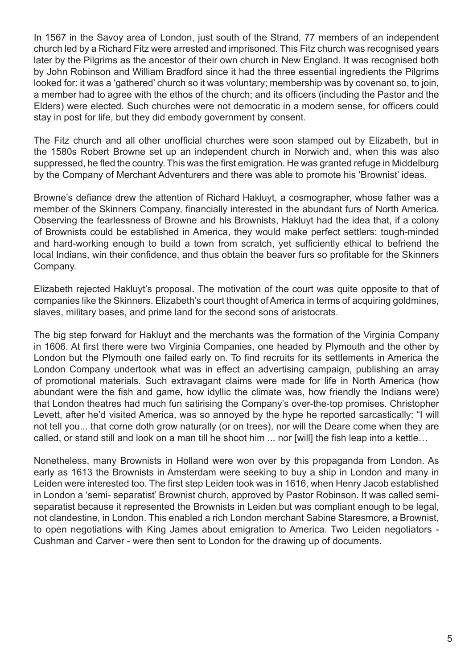In 1567 in the Savoy area of London, just south of the Strand, 77 members of an independent church led by a Richard Fitz were arrested and imprisoned. This Fitz church was recognised years later by the Pilgrims as the ancestor of their own church in New England. It was recognised both by John Robinson and William Bradford since it had the three essential ingredients the Pilgrims looked for: it was a 'gathered' church so it was voluntary; membership was by covenant so, to join, a member had to agree with the ethos of the church; and its officers (including the Pastor and the Elders) were elected. Such churches were not democratic in a modern sense, for officers could stay in post for life, but they did embody government by consent.

The Fitz church and all other unofficial churches were soon stamped out by Elizabeth, but in the 1580s Robert Browne set up an independent church in Norwich and, when this was also suppressed, he fled the country. This was the first emigration. He was granted refuge in Middelburg by the Company of Merchant Adventurers and there was able to promote his 'Brownist' ideas.

Browne's defiance drew the attention of Richard Hakluyt, a cosmographer, whose father was a member of the Skinners Company, financially interested in the abundant furs of North America. Observing the fearlessness of Browne and his Brownists, Hakluyt had the idea that, if a colony of Brownists could be established in America, they would make perfect settlers: tough-minded and hard-working enough to build a town from scratch, yet sufficiently ethical to befriend the local Indians, win their confidence, and thus obtain the beaver furs so profitable for the Skinners Company.

Elizabeth rejected Hakluyt's proposal. The motivation of the court was quite opposite to that of companies like the Skinners. Elizabeth's court thought of America in terms of acquiring goldmines, slaves, military bases, and prime land for the second sons of aristocrats.

The big step forward for Hakluyt and the merchants was the formation of the Virginia Company in 1606. At first there were two Virginia Companies, one headed by Plymouth and the other by London but the Plymouth one failed early on. To find recruits for its settlements in America the London Company undertook what was in effect an advertising campaign, publishing an array of promotional materials. Such extravagant claims were made for life in North America (how abundant were the fish and game, how idyllic the climate was, how friendly the Indians were) that London theatres had much fun satirising the Company's over-the-top promises. Christopher Levett, after he'd visited America, was so annoyed by the hype he reported sarcastically: "I will not tell you... that corne doth grow naturally (or on trees), nor will the Deare come when they are called, or stand still and look on a man till he shoot him ... nor [will] the fish leap into a kettle…

Nonetheless, many Brownists in Holland were won over by this propaganda from London. As early as 1613 the Brownists in Amsterdam were seeking to buy a ship in London and many in Leiden were interested too. The first step Leiden took was in 1616, when Henry Jacob established in London a 'semi- separatist' Brownist church, approved by Pastor Robinson. It was called semiseparatist because it represented the Brownists in Leiden but was compliant enough to be legal, not clandestine, in London. This enabled a rich London merchant Sabine Staresmore, a Brownist, to open negotiations with King James about emigration to America. Two Leiden negotiators - Cushman and Carver - were then sent to London for the drawing up of documents.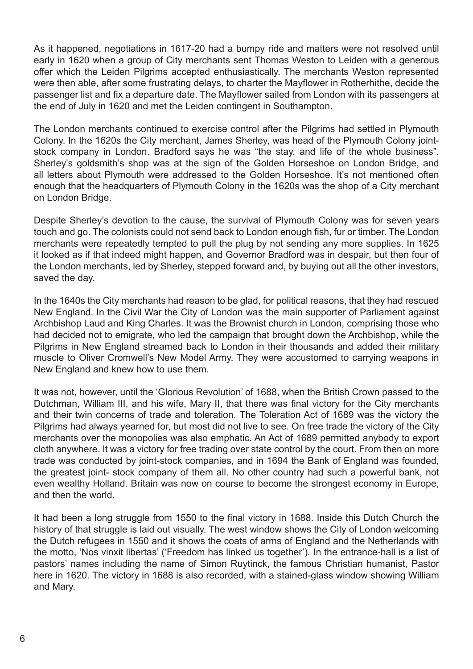As it happened, negotiations in 1617-20 had a bumpy ride and matters were not resolved until early in 1620 when a group of City merchants sent Thomas Weston to Leiden with a generous offer which the Leiden Pilgrims accepted enthusiastically. The merchants Weston represented were then able, after some frustrating delays, to charter the Mayflower in Rotherhithe, decide the passenger list and fix a departure date. The Mayflower sailed from London with its passengers at the end of July in 1620 and met the Leiden contingent in Southampton.

The London merchants continued to exercise control after the Pilgrims had settled in Plymouth Colony. In the 1620s the City merchant, James Sherley, was head of the Plymouth Colony jointstock company in London. Bradford says he was "the stay, and life of the whole business". Sherley's goldsmith's shop was at the sign of the Golden Horseshoe on London Bridge, and all letters about Plymouth were addressed to the Golden Horseshoe. It's not mentioned often enough that the headquarters of Plymouth Colony in the 1620s was the shop of a City merchant on London Bridge.

Despite Sherley's devotion to the cause, the survival of Plymouth Colony was for seven years touch and go. The colonists could not send back to London enough fish, fur or timber. The London merchants were repeatedly tempted to pull the plug by not sending any more supplies. In 1625 it looked as if that indeed might happen, and Governor Bradford was in despair, but then four of the London merchants, led by Sherley, stepped forward and, by buying out all the other investors, saved the day.

In the 1640s the City merchants had reason to be glad, for political reasons, that they had rescued New England. In the Civil War the City of London was the main supporter of Parliament against Archbishop Laud and King Charles. It was the Brownist church in London, comprising those who had decided not to emigrate, who led the campaign that brought down the Archbishop, while the Pilgrims in New England streamed back to London in their thousands and added their military muscle to Oliver Cromwell's New Model Army. They were accustomed to carrying weapons in New England and knew how to use them.

It was not, however, until the 'Glorious Revolution' of 1688, when the British Crown passed to the Dutchman, William III, and his wife, Mary II, that there was final victory for the City merchants and their twin concerns of trade and toleration. The Toleration Act of 1689 was the victory the Pilgrims had always yearned for, but most did not live to see. On free trade the victory of the City merchants over the monopolies was also emphatic. An Act of 1689 permitted anybody to export cloth anywhere. It was a victory for free trading over state control by the court. From then on more trade was conducted by joint-stock companies, and in 1694 the Bank of England was founded, the greatest joint- stock company of them all. No other country had such a powerful bank, not even wealthy Holland. Britain was now on course to become the strongest economy in Europe. and then the world.

It had been a long struggle from 1550 to the final victory in 1688. Inside this Dutch Church the history of that struggle is laid out visually. The west window shows the City of London welcoming the Dutch refugees in 1550 and it shows the coats of arms of England and the Netherlands with the motto, 'Nos vinxit libertas' ('Freedom has linked us together'). In the entrance-hall is a list of pastors' names including the name of Simon Ruytinck, the famous Christian humanist, Pastor here in 1620. The victory in 1688 is also recorded, with a stained-glass window showing William and Mary.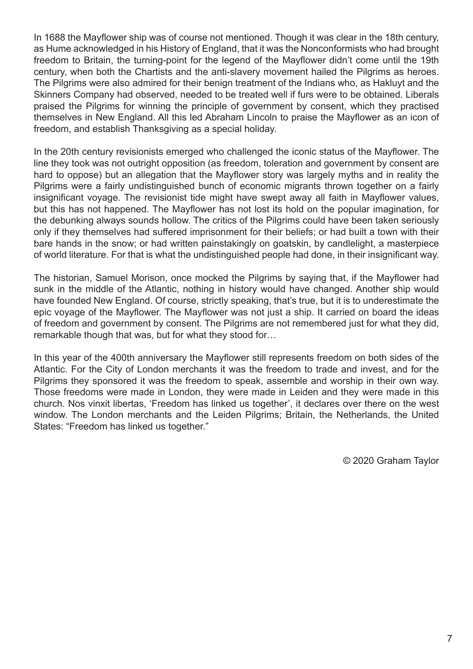In 1688 the Mayflower ship was of course not mentioned. Though it was clear in the 18th century, as Hume acknowledged in his History of England, that it was the Nonconformists who had brought freedom to Britain, the turning-point for the legend of the Mayflower didn't come until the 19th century, when both the Chartists and the anti-slavery movement hailed the Pilgrims as heroes. The Pilgrims were also admired for their benign treatment of the Indians who, as Hakluyt and the Skinners Company had observed, needed to be treated well if furs were to be obtained. Liberals praised the Pilgrims for winning the principle of government by consent, which they practised themselves in New England. All this led Abraham Lincoln to praise the Mayflower as an icon of freedom, and establish Thanksgiving as a special holiday.

In the 20th century revisionists emerged who challenged the iconic status of the Mayflower. The line they took was not outright opposition (as freedom, toleration and government by consent are hard to oppose) but an allegation that the Mayflower story was largely myths and in reality the Pilgrims were a fairly undistinguished bunch of economic migrants thrown together on a fairly insignificant voyage. The revisionist tide might have swept away all faith in Mayflower values, but this has not happened. The Mayflower has not lost its hold on the popular imagination, for the debunking always sounds hollow. The critics of the Pilgrims could have been taken seriously only if they themselves had suffered imprisonment for their beliefs; or had built a town with their bare hands in the snow; or had written painstakingly on goatskin, by candlelight, a masterpiece of world literature. For that is what the undistinguished people had done, in their insignificant way.

The historian, Samuel Morison, once mocked the Pilgrims by saying that, if the Mayflower had sunk in the middle of the Atlantic, nothing in history would have changed. Another ship would have founded New England. Of course, strictly speaking, that's true, but it is to underestimate the epic voyage of the Mayflower. The Mayflower was not just a ship. It carried on board the ideas of freedom and government by consent. The Pilgrims are not remembered just for what they did, remarkable though that was, but for what they stood for…

In this year of the 400th anniversary the Mayflower still represents freedom on both sides of the Atlantic. For the City of London merchants it was the freedom to trade and invest, and for the Pilgrims they sponsored it was the freedom to speak, assemble and worship in their own way. Those freedoms were made in London, they were made in Leiden and they were made in this church. Nos vinxit libertas, 'Freedom has linked us together', it declares over there on the west window. The London merchants and the Leiden Pilgrims; Britain, the Netherlands, the United States: "Freedom has linked us together."

© 2020 Graham Taylor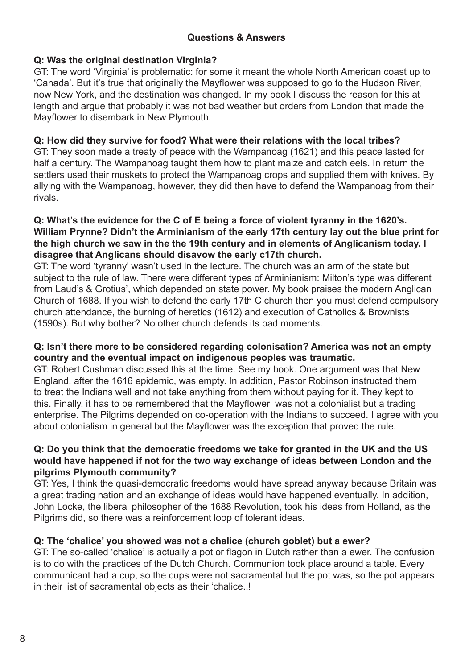## **Q: Was the original destination Virginia?**

GT: The word 'Virginia' is problematic: for some it meant the whole North American coast up to 'Canada'. But it's true that originally the Mayflower was supposed to go to the Hudson River, now New York, and the destination was changed. In my book I discuss the reason for this at length and argue that probably it was not bad weather but orders from London that made the Mayflower to disembark in New Plymouth.

## **Q: How did they survive for food? What were their relations with the local tribes?**

GT: They soon made a treaty of peace with the Wampanoag (1621) and this peace lasted for half a century. The Wampanoag taught them how to plant maize and catch eels. In return the settlers used their muskets to protect the Wampanoag crops and supplied them with knives. By allying with the Wampanoag, however, they did then have to defend the Wampanoag from their rivals.

#### **Q: What's the evidence for the C of E being a force of violent tyranny in the 1620's. William Prynne? Didn't the Arminianism of the early 17th century lay out the blue print for the high church we saw in the the 19th century and in elements of Anglicanism today. I disagree that Anglicans should disavow the early c17th church.**

GT: The word 'tyranny' wasn't used in the lecture. The church was an arm of the state but subject to the rule of law. There were different types of Arminianism: Milton's type was different from Laud's & Grotius', which depended on state power. My book praises the modern Anglican Church of 1688. If you wish to defend the early 17th C church then you must defend compulsory church attendance, the burning of heretics (1612) and execution of Catholics & Brownists (1590s). But why bother? No other church defends its bad moments.

## **Q: Isn't there more to be considered regarding colonisation? America was not an empty country and the eventual impact on indigenous peoples was traumatic.**

GT: Robert Cushman discussed this at the time. See my book. One argument was that New England, after the 1616 epidemic, was empty. In addition, Pastor Robinson instructed them to treat the Indians well and not take anything from them without paying for it. They kept to this. Finally, it has to be remembered that the Mayflower was not a colonialist but a trading enterprise. The Pilgrims depended on co-operation with the Indians to succeed. I agree with you about colonialism in general but the Mayflower was the exception that proved the rule.

## **Q: Do you think that the democratic freedoms we take for granted in the UK and the US would have happened if not for the two way exchange of ideas between London and the pilgrims Plymouth community?**

GT: Yes, I think the quasi-democratic freedoms would have spread anyway because Britain was a great trading nation and an exchange of ideas would have happened eventually. In addition, John Locke, the liberal philosopher of the 1688 Revolution, took his ideas from Holland, as the Pilgrims did, so there was a reinforcement loop of tolerant ideas.

# **Q: The 'chalice' you showed was not a chalice (church goblet) but a ewer?**

GT: The so-called 'chalice' is actually a pot or flagon in Dutch rather than a ewer. The confusion is to do with the practices of the Dutch Church. Communion took place around a table. Every communicant had a cup, so the cups were not sacramental but the pot was, so the pot appears in their list of sacramental objects as their 'chalice..!